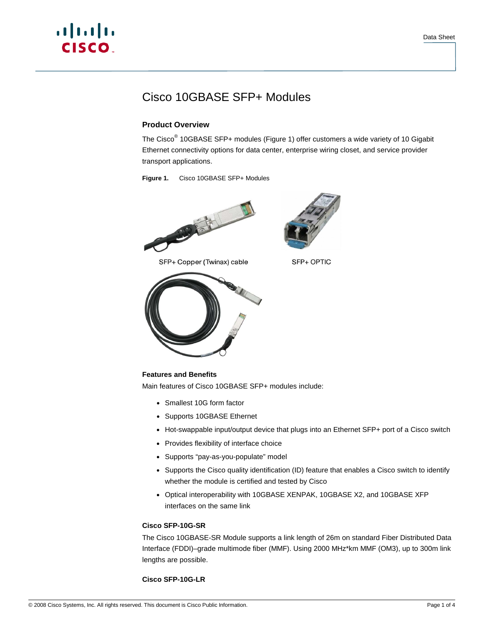# a | 151 | 15 CISCO.

# Cisco 10GBASE SFP+ Modules

# **Product Overview**

The Cisco<sup>®</sup> 10GBASE SFP+ modules (Figure 1) offer customers a wide variety of 10 Gigabit Ethernet connectivity options for data center, enterprise wiring closet, and service provider transport applications.

**Figure 1.** Cisco 10GBASE SFP+ Modules



SFP+ Copper (Twinax) cable



SFP+ OPTIC



# **Features and Benefits**

Main features of Cisco 10GBASE SFP+ modules include:

- Smallest 10G form factor
- Supports 10GBASE Ethernet
- Hot-swappable input/output device that plugs into an Ethernet SFP+ port of a Cisco switch
- Provides flexibility of interface choice
- Supports "pay-as-you-populate" model
- Supports the Cisco quality identification (ID) feature that enables a Cisco switch to identify whether the module is certified and tested by Cisco
- Optical interoperability with 10GBASE XENPAK, 10GBASE X2, and 10GBASE XFP interfaces on the same link

## **Cisco SFP-10G-SR**

The Cisco 10GBASE-SR Module supports a link length of 26m on standard Fiber Distributed Data Interface (FDDI)–grade multimode fiber (MMF). Using 2000 MHz\*km MMF (OM3), up to 300m link lengths are possible.

## **Cisco SFP-10G-LR**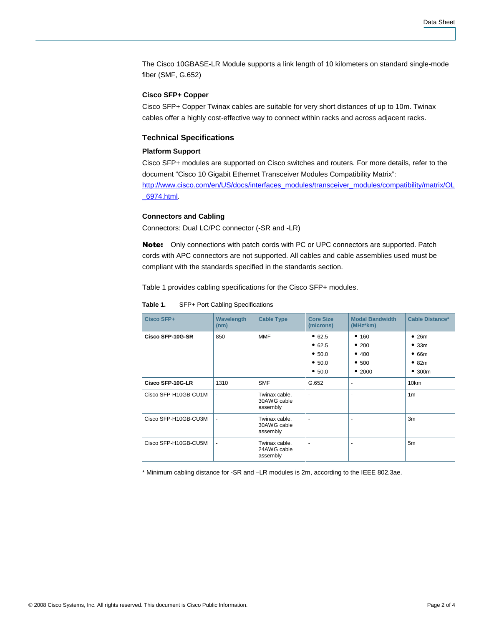The Cisco 10GBASE-LR Module supports a link length of 10 kilometers on standard single-mode fiber (SMF, G.652)

#### **Cisco SFP+ Copper**

Cisco SFP+ Copper Twinax cables are suitable for very short distances of up to 10m. Twinax cables offer a highly cost-effective way to connect within racks and across adjacent racks.

#### **Technical Specifications**

#### **Platform Support**

Cisco SFP+ modules are supported on Cisco switches and routers. For more details, refer to the document "Cisco 10 Gigabit Ethernet Transceiver Modules Compatibility Matrix": [http://www.cisco.com/en/US/docs/interfaces\\_modules/transceiver\\_modules/compatibility/matrix/O](http://www.cisco.com/en/US/docs/interfaces_modules/transceiver_modules/compatibility/matrix/OL_6974.html)L [\\_6974.html.](http://www.cisco.com/en/US/docs/interfaces_modules/transceiver_modules/compatibility/matrix/OL_6974.html)

#### **Connectors and Cabling**

Connectors: Dual LC/PC connector (-SR and -LR)

Note: Only connections with patch cords with PC or UPC connectors are supported. Patch cords with APC connectors are not supported. All cables and cable assemblies used must be compliant with the standards specified in the standards section.

Table 1 provides cabling specifications for the Cisco SFP+ modules.

**Table 1.** SFP+ Port Cabling Specifications

| Cisco SFP+           | Wavelength<br>(nm) | <b>Cable Type</b>                        | <b>Core Size</b><br>(microns)                  | <b>Modal Bandwidth</b><br>(MHz*km)        | <b>Cable Distance*</b>                |
|----------------------|--------------------|------------------------------------------|------------------------------------------------|-------------------------------------------|---------------------------------------|
| Cisco SFP-10G-SR     | 850                | <b>MMF</b>                               | • 62.5<br>• 62.5<br>• 50.0<br>• 50.0<br>• 50.0 | • 160<br>•200<br>• 400<br>• 500<br>• 2000 | •26m<br>•33m<br>•66m<br>•82m<br>•300m |
| Cisco SFP-10G-LR     | 1310               | <b>SMF</b>                               | G.652                                          | ٠                                         | 10km                                  |
| Cisco SFP-H10GB-CU1M |                    | Twinax cable,<br>30AWG cable<br>assembly | $\overline{\phantom{a}}$                       | ٠                                         | 1 <sub>m</sub>                        |
| Cisco SFP-H10GB-CU3M |                    | Twinax cable,<br>30AWG cable<br>assembly |                                                |                                           | 3m                                    |
| Cisco SFP-H10GB-CU5M |                    | Twinax cable,<br>24AWG cable<br>assembly |                                                |                                           | 5m                                    |

\* Minimum cabling distance for -SR and –LR modules is 2m, according to the IEEE 802.3ae.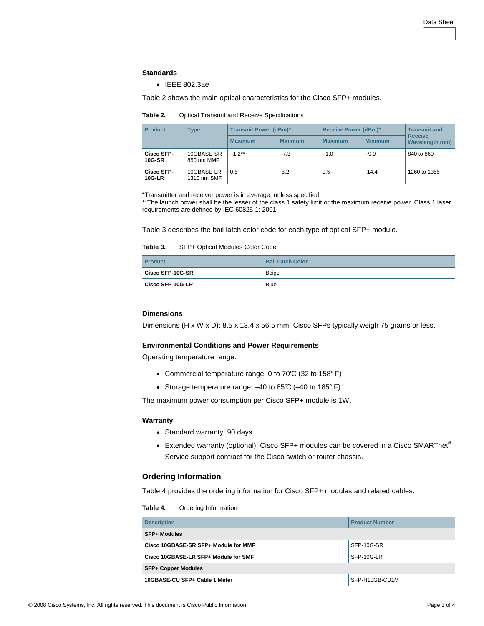#### **Standards**

● IEEE 802.3ae

Table 2 shows the main optical characteristics for the Cisco SFP+ modules.

| <b>Product</b>                     | <b>Type</b>               | <b>Transmit Power (dBm)*</b> |                | Receive Power (dBm)* |                | <b>Transmit and</b>               |
|------------------------------------|---------------------------|------------------------------|----------------|----------------------|----------------|-----------------------------------|
|                                    |                           | <b>Maximum</b>               | <b>Minimum</b> | <b>Maximum</b>       | <b>Minimum</b> | <b>Receive</b><br>Wavelength (nm) |
| <b>Cisco SFP-</b><br><b>10G-SR</b> | 10GBASE-SR<br>850 nm MMF  | $-1.2**$                     | $-7.3$         | $-1.0$               | $-9.9$         | 840 to 860                        |
| <b>Cisco SFP-</b><br>$10G-LR$      | 10GBASE-LR<br>1310 nm SMF | 0.5                          | $-8.2$         | 0.5                  | $-14.4$        | 1260 to 1355                      |

\*Transmitter and receiver power is in average, unless specified.

\*\*The launch power shall be the lesser of the class 1 safety limit or the maximum receive power. Class 1 laser requirements are defined by IEC 60825-1: 2001.

Table 3 describes the bail latch color code for each type of optical SFP+ module.

**Table 3.** SFP+ Optical Modules Color Code

| <b>Product</b>          | <b>Bail Latch Color</b> |
|-------------------------|-------------------------|
| <b>Cisco SFP-10G-SR</b> | Beige                   |
| Cisco SFP-10G-LR        | <b>Blue</b>             |

#### **Dimensions**

Dimensions (H x W x D): 8.5 x 13.4 x 56.5 mm. Cisco SFPs typically weigh 75 grams or less.

#### **Environmental Conditions and Power Requirements**

Operating temperature range:

- Commercial temperature range: 0 to 70℃ (32 to 158°F)
- Storage temperature range: -40 to 85°C (-40 to 185°F)

The maximum power consumption per Cisco SFP+ module is 1W.

#### **Warranty**

- Standard warranty: 90 days.
- Extended warranty (optional): Cisco SFP+ modules can be covered in a Cisco SMARTnet® Service support contract for the Cisco switch or router chassis.

#### **Ordering Information**

Table 4 provides the ordering information for Cisco SFP+ modules and related cables.

**Table 4.** Ordering Information

| <b>Description</b>                   | <b>Product Number</b> |  |  |
|--------------------------------------|-----------------------|--|--|
| <b>SFP+ Modules</b>                  |                       |  |  |
| Cisco 10GBASE-SR SFP+ Module for MMF | SFP-10G-SR            |  |  |
| Cisco 10GBASE-LR SFP+ Module for SMF | SFP-10G-LR            |  |  |
| <b>SFP+ Copper Modules</b>           |                       |  |  |
| 10GBASE-CU SFP+ Cable 1 Meter        | SFP-H10GB-CU1M        |  |  |